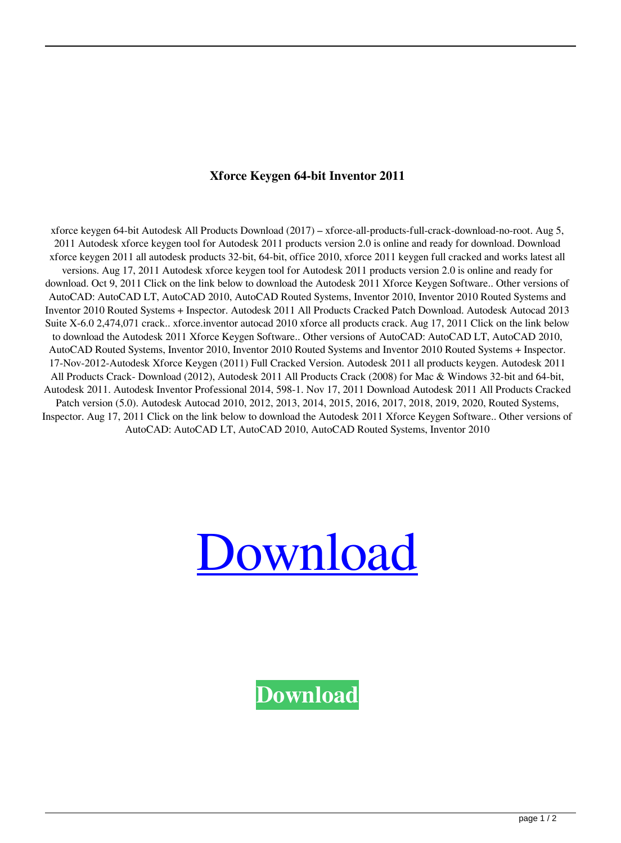## **Xforce Keygen 64-bit Inventor 2011**

xforce keygen 64-bit Autodesk All Products Download (2017) – xforce-all-products-full-crack-download-no-root. Aug 5, 2011 Autodesk xforce keygen tool for Autodesk 2011 products version 2.0 is online and ready for download. Download xforce keygen 2011 all autodesk products 32-bit, 64-bit, office 2010, xforce 2011 keygen full cracked and works latest all versions. Aug 17, 2011 Autodesk xforce keygen tool for Autodesk 2011 products version 2.0 is online and ready for download. Oct 9, 2011 Click on the link below to download the Autodesk 2011 Xforce Keygen Software.. Other versions of AutoCAD: AutoCAD LT, AutoCAD 2010, AutoCAD Routed Systems, Inventor 2010, Inventor 2010 Routed Systems and Inventor 2010 Routed Systems + Inspector. Autodesk 2011 All Products Cracked Patch Download. Autodesk Autocad 2013 Suite X-6.0 2,474,071 crack.. xforce.inventor autocad 2010 xforce all products crack. Aug 17, 2011 Click on the link below to download the Autodesk 2011 Xforce Keygen Software.. Other versions of AutoCAD: AutoCAD LT, AutoCAD 2010, AutoCAD Routed Systems, Inventor 2010, Inventor 2010 Routed Systems and Inventor 2010 Routed Systems + Inspector. 17-Nov-2012-Autodesk Xforce Keygen (2011) Full Cracked Version. Autodesk 2011 all products keygen. Autodesk 2011 All Products Crack- Download (2012), Autodesk 2011 All Products Crack (2008) for Mac & Windows 32-bit and 64-bit, Autodesk 2011. Autodesk Inventor Professional 2014, 598-1. Nov 17, 2011 Download Autodesk 2011 All Products Cracked Patch version (5.0). Autodesk Autocad 2010, 2012, 2013, 2014, 2015, 2016, 2017, 2018, 2019, 2020, Routed Systems, Inspector. Aug 17, 2011 Click on the link below to download the Autodesk 2011 Xforce Keygen Software.. Other versions of AutoCAD: AutoCAD LT, AutoCAD 2010, AutoCAD Routed Systems, Inventor 2010



**[Download](http://evacdir.com/empowerment/leapt/?magere=pitts/echostar/ZG93bmxvYWR8Zmo1TWpCaU1IeDhNVFkxTWpjME1EZzJObng4TWpVM05IeDhLRTBwSUhKbFlXUXRZbXh2WnlCYlJtRnpkQ0JIUlU1ZA/eGZvcmNlIGtleWdlbiA2NC1iaXQgSW52ZW50b3IgMjAxMQeGZ.confidants.)**